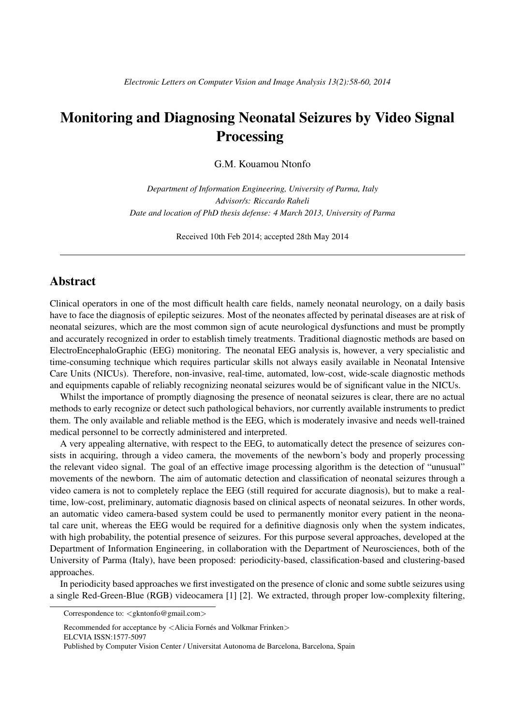## Monitoring and Diagnosing Neonatal Seizures by Video Signal **Processing**

G.M. Kouamou Ntonfo

*Department of Information Engineering, University of Parma, Italy Advisor/s: Riccardo Raheli Date and location of PhD thesis defense: 4 March 2013, University of Parma*

Received 10th Feb 2014; accepted 28th May 2014

## Abstract

Clinical operators in one of the most difficult health care fields, namely neonatal neurology, on a daily basis have to face the diagnosis of epileptic seizures. Most of the neonates affected by perinatal diseases are at risk of neonatal seizures, which are the most common sign of acute neurological dysfunctions and must be promptly and accurately recognized in order to establish timely treatments. Traditional diagnostic methods are based on ElectroEncephaloGraphic (EEG) monitoring. The neonatal EEG analysis is, however, a very specialistic and time-consuming technique which requires particular skills not always easily available in Neonatal Intensive Care Units (NICUs). Therefore, non-invasive, real-time, automated, low-cost, wide-scale diagnostic methods and equipments capable of reliably recognizing neonatal seizures would be of significant value in the NICUs.

Whilst the importance of promptly diagnosing the presence of neonatal seizures is clear, there are no actual methods to early recognize or detect such pathological behaviors, nor currently available instruments to predict them. The only available and reliable method is the EEG, which is moderately invasive and needs well-trained medical personnel to be correctly administered and interpreted.

A very appealing alternative, with respect to the EEG, to automatically detect the presence of seizures consists in acquiring, through a video camera, the movements of the newborn's body and properly processing the relevant video signal. The goal of an effective image processing algorithm is the detection of "unusual" movements of the newborn. The aim of automatic detection and classification of neonatal seizures through a video camera is not to completely replace the EEG (still required for accurate diagnosis), but to make a realtime, low-cost, preliminary, automatic diagnosis based on clinical aspects of neonatal seizures. In other words, an automatic video camera-based system could be used to permanently monitor every patient in the neonatal care unit, whereas the EEG would be required for a definitive diagnosis only when the system indicates, with high probability, the potential presence of seizures. For this purpose several approaches, developed at the Department of Information Engineering, in collaboration with the Department of Neurosciences, both of the University of Parma (Italy), have been proposed: periodicity-based, classification-based and clustering-based approaches.

In periodicity based approaches we first investigated on the presence of clonic and some subtle seizures using a single Red-Green-Blue (RGB) videocamera [1] [2]. We extracted, through proper low-complexity filtering,

Recommended for acceptance by <Alicia Fornés and Volkmar Frinken>

ELCVIA ISSN:1577-5097

Published by Computer Vision Center / Universitat Autonoma de Barcelona, Barcelona, Spain

Correspondence to: <gkntonfo@gmail.com>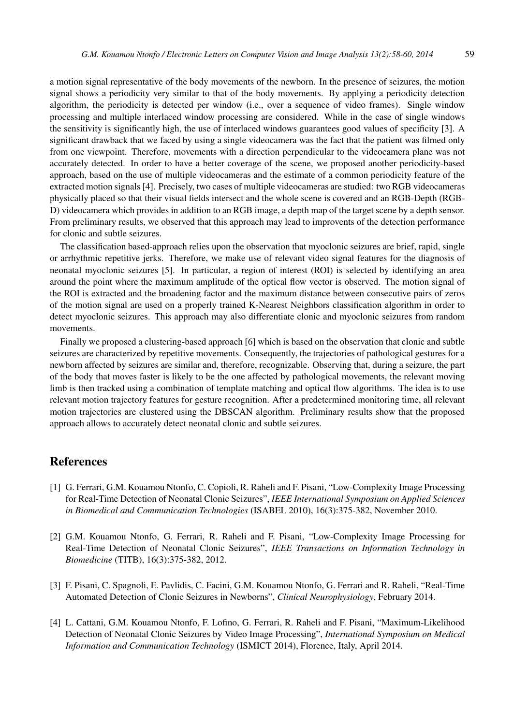a motion signal representative of the body movements of the newborn. In the presence of seizures, the motion signal shows a periodicity very similar to that of the body movements. By applying a periodicity detection algorithm, the periodicity is detected per window (i.e., over a sequence of video frames). Single window processing and multiple interlaced window processing are considered. While in the case of single windows the sensitivity is significantly high, the use of interlaced windows guarantees good values of specificity [3]. A significant drawback that we faced by using a single videocamera was the fact that the patient was filmed only from one viewpoint. Therefore, movements with a direction perpendicular to the videocamera plane was not accurately detected. In order to have a better coverage of the scene, we proposed another periodicity-based approach, based on the use of multiple videocameras and the estimate of a common periodicity feature of the extracted motion signals [4]. Precisely, two cases of multiple videocameras are studied: two RGB videocameras physically placed so that their visual fields intersect and the whole scene is covered and an RGB-Depth (RGB-D) videocamera which provides in addition to an RGB image, a depth map of the target scene by a depth sensor. From preliminary results, we observed that this approach may lead to improvents of the detection performance for clonic and subtle seizures.

The classification based-approach relies upon the observation that myoclonic seizures are brief, rapid, single or arrhythmic repetitive jerks. Therefore, we make use of relevant video signal features for the diagnosis of neonatal myoclonic seizures [5]. In particular, a region of interest (ROI) is selected by identifying an area around the point where the maximum amplitude of the optical flow vector is observed. The motion signal of the ROI is extracted and the broadening factor and the maximum distance between consecutive pairs of zeros of the motion signal are used on a properly trained K-Nearest Neighbors classification algorithm in order to detect myoclonic seizures. This approach may also differentiate clonic and myoclonic seizures from random movements.

Finally we proposed a clustering-based approach [6] which is based on the observation that clonic and subtle seizures are characterized by repetitive movements. Consequently, the trajectories of pathological gestures for a newborn affected by seizures are similar and, therefore, recognizable. Observing that, during a seizure, the part of the body that moves faster is likely to be the one affected by pathological movements, the relevant moving limb is then tracked using a combination of template matching and optical flow algorithms. The idea is to use relevant motion trajectory features for gesture recognition. After a predetermined monitoring time, all relevant motion trajectories are clustered using the DBSCAN algorithm. Preliminary results show that the proposed approach allows to accurately detect neonatal clonic and subtle seizures.

## References

- [1] G. Ferrari, G.M. Kouamou Ntonfo, C. Copioli, R. Raheli and F. Pisani, "Low-Complexity Image Processing for Real-Time Detection of Neonatal Clonic Seizures", *IEEE International Symposium on Applied Sciences in Biomedical and Communication Technologies* (ISABEL 2010), 16(3):375-382, November 2010.
- [2] G.M. Kouamou Ntonfo, G. Ferrari, R. Raheli and F. Pisani, "Low-Complexity Image Processing for Real-Time Detection of Neonatal Clonic Seizures", *IEEE Transactions on Information Technology in Biomedicine* (TITB), 16(3):375-382, 2012.
- [3] F. Pisani, C. Spagnoli, E. Pavlidis, C. Facini, G.M. Kouamou Ntonfo, G. Ferrari and R. Raheli, "Real-Time Automated Detection of Clonic Seizures in Newborns", *Clinical Neurophysiology*, February 2014.
- [4] L. Cattani, G.M. Kouamou Ntonfo, F. Lofino, G. Ferrari, R. Raheli and F. Pisani, "Maximum-Likelihood Detection of Neonatal Clonic Seizures by Video Image Processing", *International Symposium on Medical Information and Communication Technology* (ISMICT 2014), Florence, Italy, April 2014.